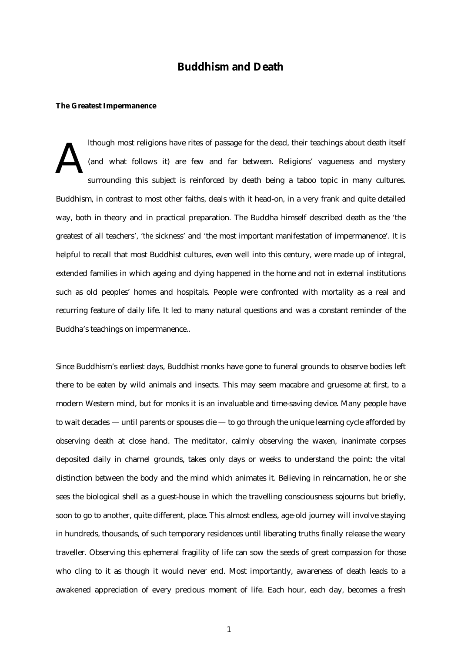# **Buddhism and Death**

### **The Greatest Impermanence**

lthough most religions have rites of passage for the dead, their teachings about death itself (and what follows it) are few and far between. Religions' vagueness and mystery surrounding this subject is reinforced by death being a taboo topic in many cultures. Buddhism, in contrast to most other faiths, deals with it head-on, in a very frank and quite detailed way, both in theory and in practical preparation. The Buddha himself described death as the 'the greatest of all teachers', '*the* sickness' and 'the most important manifestation of impermanence'. It is helpful to recall that most Buddhist cultures, even well into this century, were made up of integral, extended families in which ageing and dying happened in the home and not in external institutions such as old peoples' homes and hospitals. People were confronted with mortality as a real and recurring feature of daily life. It led to many natural questions and was a constant reminder of the Buddha's teachings on impermanence.. A

Since Buddhism's earliest days, Buddhist monks have gone to funeral grounds to observe bodies left there to be eaten by wild animals and insects. This may seem macabre and gruesome at first, to a modern Western mind, but for monks it is an invaluable and time-saving device. Many people have to wait decades — until parents or spouses die — to go through the unique learning cycle afforded by observing death at close hand. The meditator, calmly observing the waxen, inanimate corpses deposited daily in charnel grounds, takes only days or weeks to understand the point: the vital distinction between the body and the mind which animates it. Believing in reincarnation, he or she sees the biological shell as a guest-house in which the travelling consciousness sojourns but briefly, soon to go to another, quite different, place. This almost endless, age-old journey will involve staying in hundreds, thousands, of such temporary residences until liberating truths finally release the weary traveller. Observing this ephemeral fragility of life can sow the seeds of great compassion for those who cling to it as though it would never end. Most importantly, awareness of death leads to a awakened appreciation of every precious moment of life. Each hour, each day, becomes a fresh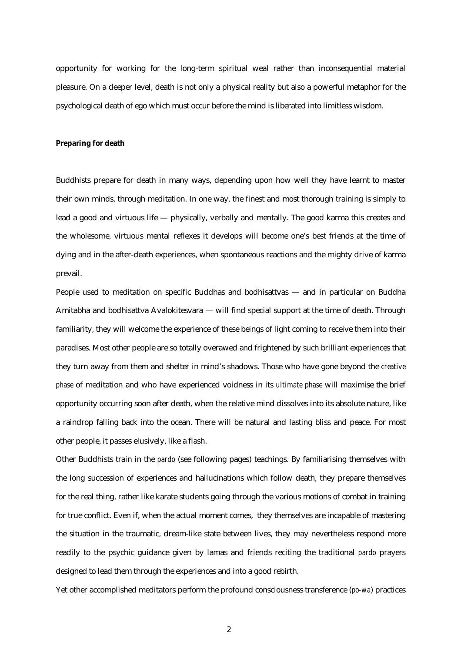opportunity for working for the long-term spiritual weal rather than inconsequential material pleasure. On a deeper level, death is not only a physical reality but also a powerful metaphor for the psychological death of ego which must occur before the mind is liberated into limitless wisdom.

### **Preparing for death**

Buddhists prepare for death in many ways, depending upon how well they have learnt to master their own minds, through meditation. In one way, the finest and most thorough training is simply to lead a good and virtuous life — physically, verbally and mentally. The good karma this creates and the wholesome, virtuous mental reflexes it develops will become one's best friends at the time of dying and in the after-death experiences, when spontaneous reactions and the mighty drive of karma prevail.

People used to meditation on specific Buddhas and bodhisattvas — and in particular on Buddha Amitabha and bodhisattva Avalokitesvara — will find special support at the time of death. Through familiarity, they will welcome the experience of these beings of light coming to receive them into their paradises. Most other people are so totally overawed and frightened by such brilliant experiences that they turn away from them and shelter in mind's shadows. Those who have gone beyond the *creative phase* of meditation and who have experienced voidness in its *ultimate phase* will maximise the brief opportunity occurring soon after death, when the relative mind dissolves into its absolute nature, like a raindrop falling back into the ocean. There will be natural and lasting bliss and peace. For most other people, it passes elusively, like a flash.

Other Buddhists train in the *pardo* (see following pages) teachings. By familiarising themselves with the long succession of experiences and hallucinations which follow death, they prepare themselves for the real thing, rather like karate students going through the various motions of combat in training for true conflict. Even if, when the actual moment comes, they themselves are incapable of mastering the situation in the traumatic, dream-like state between lives, they may nevertheless respond more readily to the psychic guidance given by lamas and friends reciting the traditional *pardo* prayers designed to lead them through the experiences and into a good rebirth.

Yet other accomplished meditators perform the profound consciousness transference (*po-wa*) practices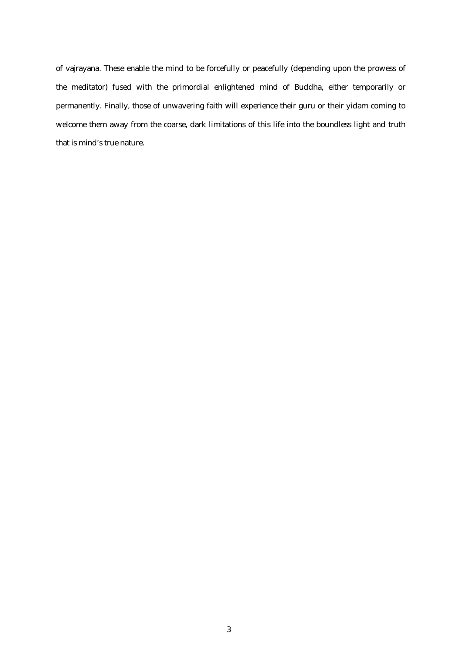of vajrayana. These enable the mind to be forcefully or peacefully (depending upon the prowess of the meditator) fused with the primordial enlightened mind of Buddha, either temporarily or permanently. Finally, those of unwavering faith will experience their guru or their yidam coming to welcome them away from the coarse, dark limitations of this life into the boundless light and truth that is mind's true nature.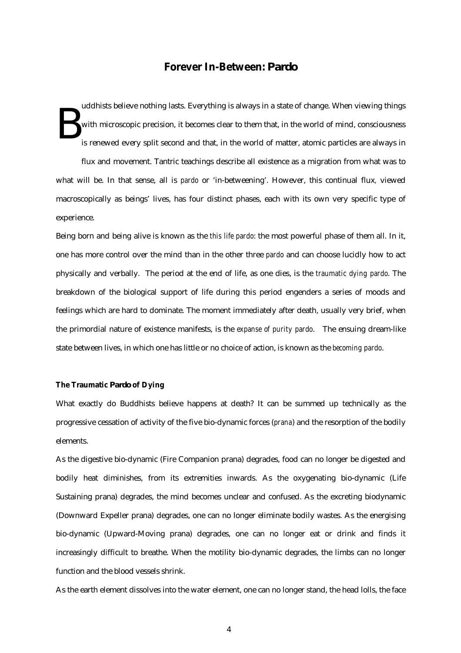## **Forever In-Between:** *Pardo*

uddhists believe nothing lasts. Everything is always in a state of change. When viewing things with microscopic precision, it becomes clear to them that, in the world of mind, consciousness is renewed every split second and that, in the world of matter, atomic particles are always in B

flux and movement. Tantric teachings describe all existence as a migration from what was to what will be. In that sense, all is *pardo* or 'in-betweening'. However, this continual flux*,* viewed macroscopically as beings' lives, has four distinct phases, each with its own very specific type of experience.

Being born and being alive is known as the *this life pardo*: the most powerful phase of them all. In it, one has more control over the mind than in the other three *pardo* and can choose lucidly how to act physically and verbally. The period at the end of life, as one dies, is the *traumatic dying pardo*. The breakdown of the biological support of life during this period engenders a series of moods and feelings which are hard to dominate. The moment immediately after death, usually very brief, when the primordial nature of existence manifests, is the *expanse of purity pardo*. The ensuing dream-like state between lives, in which one has little or no choice of action, is known as the *becoming pardo*.

### **The Traumatic** *Pardo* **of Dying**

What exactly do Buddhists believe happens at death? It can be summed up technically as the progressive cessation of activity of the five bio-dynamic forces (*prana*) and the resorption of the bodily elements.

As the digestive bio-dynamic (Fire Companion prana) degrades, food can no longer be digested and bodily heat diminishes, from its extremities inwards. As the oxygenating bio-dynamic (Life Sustaining prana) degrades, the mind becomes unclear and confused. As the excreting biodynamic (Downward Expeller prana) degrades, one can no longer eliminate bodily wastes. As the energising bio-dynamic (Upward-Moving prana) degrades, one can no longer eat or drink and finds it increasingly difficult to breathe. When the motility bio-dynamic degrades, the limbs can no longer function and the blood vessels shrink.

As the earth element dissolves into the water element, one can no longer stand, the head lolls, the face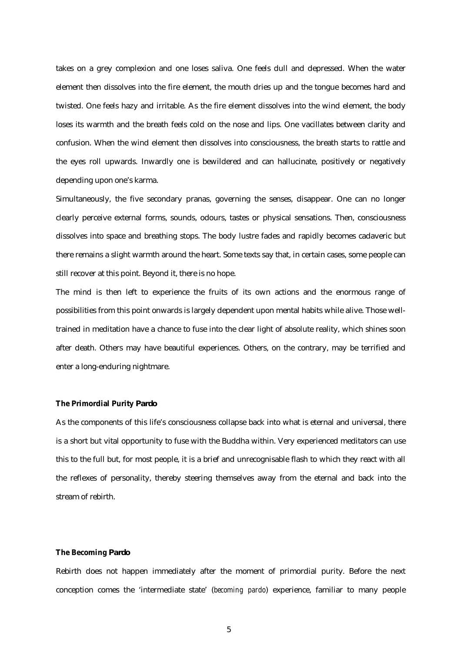takes on a grey complexion and one loses saliva. One feels dull and depressed. When the water element then dissolves into the fire element, the mouth dries up and the tongue becomes hard and twisted. One feels hazy and irritable. As the fire element dissolves into the wind element, the body loses its warmth and the breath feels cold on the nose and lips. One vacillates between clarity and confusion. When the wind element then dissolves into consciousness, the breath starts to rattle and the eyes roll upwards. Inwardly one is bewildered and can hallucinate, positively or negatively depending upon one's karma.

Simultaneously, the five secondary pranas, governing the senses, disappear. One can no longer clearly perceive external forms, sounds, odours, tastes or physical sensations. Then, consciousness dissolves into space and breathing stops. The body lustre fades and rapidly becomes cadaveric but there remains a slight warmth around the heart. Some texts say that, in certain cases, some people can still recover at this point. Beyond it, there is no hope.

The mind is then left to experience the fruits of its own actions and the enormous range of possibilities from this point onwards is largely dependent upon mental habits while alive. Those welltrained in meditation have a chance to fuse into the clear light of absolute reality, which shines soon after death. Others may have beautiful experiences. Others, on the contrary, may be terrified and enter a long-enduring nightmare.

### **The Primordial Purity** *Pardo*

As the components of this life's consciousness collapse back into what is eternal and universal, there is a short but vital opportunity to fuse with the Buddha within. Very experienced meditators can use this to the full but, for most people, it is a brief and unrecognisable flash to which they react with all the reflexes of personality, thereby steering themselves away from the eternal and back into the stream of rebirth.

#### **The Becoming** *Pardo*

Rebirth does not happen immediately after the moment of primordial purity. Before the next conception comes the 'intermediate state' (*becoming pardo*) experience, familiar to many people